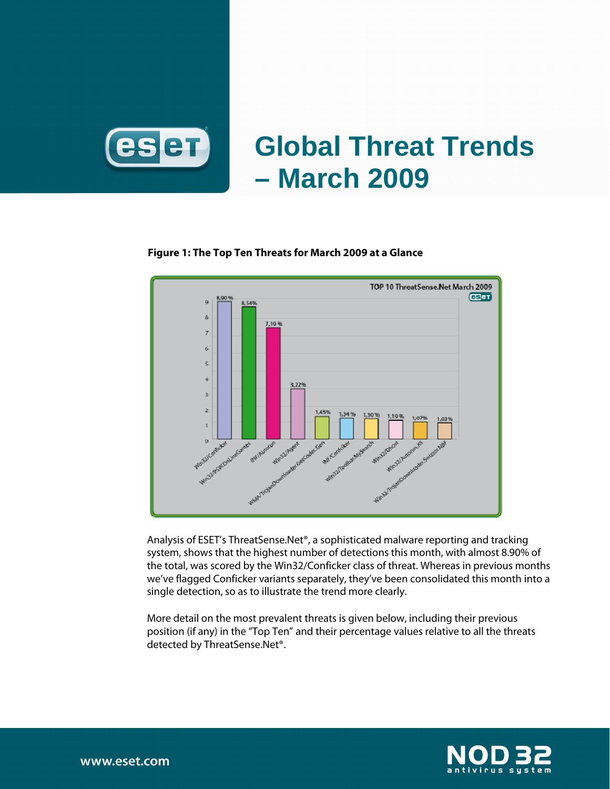

# **Global Threat Trends – March 2009**

### **Figure 1: The Top Ten Threats for March 2009 at a Glance**



Analysis of ESET's ThreatSense.Net®, a sophisticated malware reporting and tracking system, shows that the highest number of detections this month, with almost 8.90% of the total, was scored by the Win32/Conficker class of threat. Whereas in previous months we've flagged Conficker variants separately, they've been consolidated this month into a single detection, so as to illustrate the trend more clearly.

More detail on the most prevalent threats is given below, including their previous position (if any) in the "Top Ten" and their percentage values relative to all the threats detected by ThreatSense.Net®.

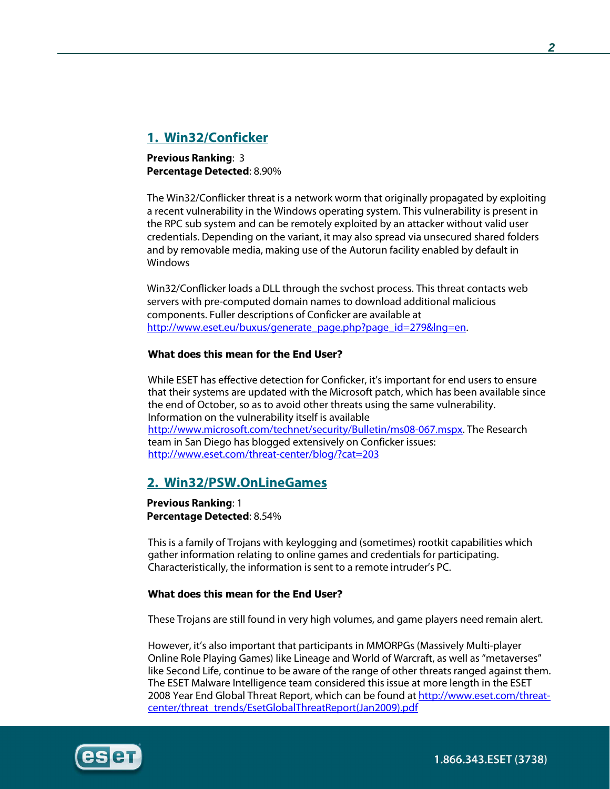# **1. Win32/Conficker**

**Previous Ranking**: 3 **Percentage Detected**: 8.90%

The Win32/Conflicker threat is a network worm that originally propagated by exploiting a recent vulnerability in the Windows operating system. This vulnerability is present in the RPC sub system and can be remotely exploited by an attacker without valid user credentials. Depending on the variant, it may also spread via unsecured shared folders and by removable media, making use of the Autorun facility enabled by default in Windows

Win32/Conflicker loads a DLL through the svchost process. This threat contacts web servers with pre-computed domain names to download additional malicious components. Fuller descriptions of Conficker are available at http://www.eset.eu/buxus/generate\_page.php?page\_id=279&lng=en.

### **What does this mean for the End User?**

While ESET has effective detection for Conficker, it's important for end users to ensure that their systems are updated with the Microsoft patch, which has been available since the end of October, so as to avoid other threats using the same vulnerability. Information on the vulnerability itself is available http://www.microsoft.com/technet/security/Bulletin/ms08-067.mspx. The Research team in San Diego has blogged extensively on Conficker issues: http://www.eset.com/threat-center/blog/?cat=203

### **2. Win32/PSW.OnLineGames**

**Previous Ranking**: 1 **Percentage Detected**: 8.54%

This is a family of Trojans with keylogging and (sometimes) rootkit capabilities which gather information relating to online games and credentials for participating. Characteristically, the information is sent to a remote intruder's PC.

### **What does this mean for the End User?**

These Trojans are still found in very high volumes, and game players need remain alert.

However, it's also important that participants in MMORPGs (Massively Multi-player Online Role Playing Games) like Lineage and World of Warcraft, as well as "metaverses" like Second Life, continue to be aware of the range of other threats ranged against them. The ESET Malware Intelligence team considered this issue at more length in the ESET 2008 Year End Global Threat Report, which can be found at http://www.eset.com/threatcenter/threat\_trends/EsetGlobalThreatReport(Jan2009).pdf



1.866.343.ESET (3738)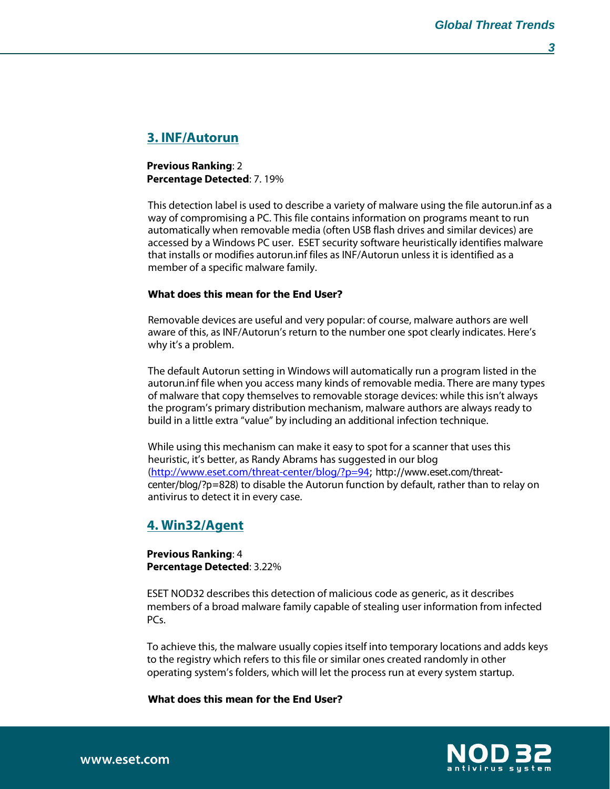**3** 

### **3. INF/Autorun**

**Previous Ranking**: 2 **Percentage Detected**: 7. 19%

This detection label is used to describe a variety of malware using the file autorun.inf as a way of compromising a PC. This file contains information on programs meant to run automatically when removable media (often USB flash drives and similar devices) are accessed by a Windows PC user. ESET security software heuristically identifies malware that installs or modifies autorun.inf files as INF/Autorun unless it is identified as a member of a specific malware family.

### **What does this mean for the End User?**

Removable devices are useful and very popular: of course, malware authors are well aware of this, as INF/Autorun's return to the number one spot clearly indicates. Here's why it's a problem.

The default Autorun setting in Windows will automatically run a program listed in the autorun.inf file when you access many kinds of removable media. There are many types of malware that copy themselves to removable storage devices: while this isn't always the program's primary distribution mechanism, malware authors are always ready to build in a little extra "value" by including an additional infection technique.

While using this mechanism can make it easy to spot for a scanner that uses this heuristic, it's better, as Randy Abrams has suggested in our blog (http://www.eset.com/threat-center/blog/?p=94; http://www.eset.com/threatcenter/blog/?p=828) to disable the Autorun function by default, rather than to relay on antivirus to detect it in every case.

### **4. Win32/Agent**

**Previous Ranking**: 4 **Percentage Detected**: 3.22%

ESET NOD32 describes this detection of malicious code as generic, as it describes members of a broad malware family capable of stealing user information from infected PCs.

To achieve this, the malware usually copies itself into temporary locations and adds keys to the registry which refers to this file or similar ones created randomly in other operating system's folders, which will let the process run at every system startup.

**What does this mean for the End User?** 

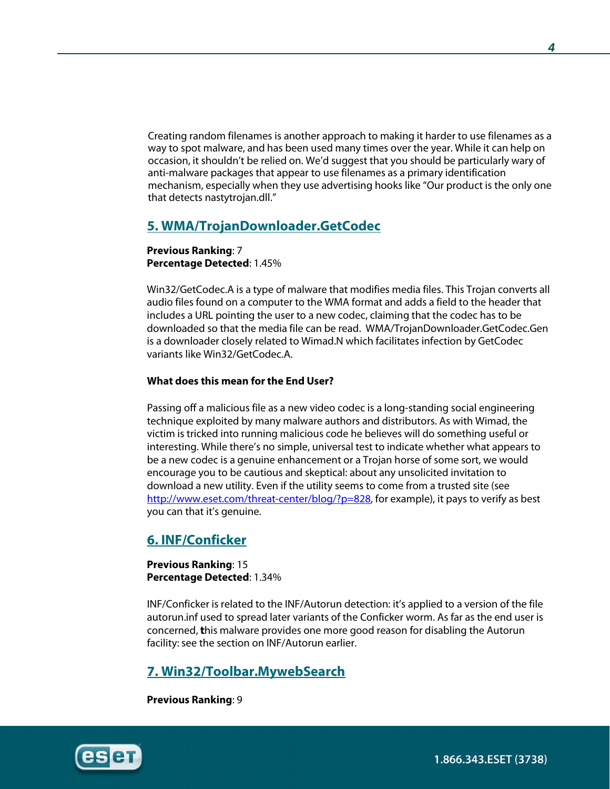Creating random filenames is another approach to making it harder to use filenames as a way to spot malware, and has been used many times over the year. While it can help on occasion, it shouldn't be relied on. We'd suggest that you should be particularly wary of anti-malware packages that appear to use filenames as a primary identification mechanism, especially when they use advertising hooks like "Our product is the only one that detects nastytrojan.dll."

# **5. WMA/TrojanDownloader.GetCodec**

**Previous Ranking**: 7 **Percentage Detected**: 1.45%

Win32/GetCodec.A is a type of malware that modifies media files. This Trojan converts all audio files found on a computer to the WMA format and adds a field to the header that includes a URL pointing the user to a new codec, claiming that the codec has to be downloaded so that the media file can be read. WMA/TrojanDownloader.GetCodec.Gen is a downloader closely related to Wimad.N which facilitates infection by GetCodec variants like Win32/GetCodec.A.

### **What does this mean for the End User?**

Passing off a malicious file as a new video codec is a long-standing social engineering technique exploited by many malware authors and distributors. As with Wimad, the victim is tricked into running malicious code he believes will do something useful or interesting. While there's no simple, universal test to indicate whether what appears to be a new codec is a genuine enhancement or a Trojan horse of some sort, we would encourage you to be cautious and skeptical: about any unsolicited invitation to download a new utility. Even if the utility seems to come from a trusted site (see http://www.eset.com/threat-center/blog/?p=828, for example), it pays to verify as best you can that it's genuine.

# **6. INF/Conficker**

**Previous Ranking**: 15 **Percentage Detected**: 1.34%

INF/Conficker is related to the INF/Autorun detection: it's applied to a version of the file autorun.inf used to spread later variants of the Conficker worm. As far as the end user is concerned, **t**his malware provides one more good reason for disabling the Autorun facility: see the section on INF/Autorun earlier.

# **7. Win32/Toolbar.MywebSearch**

**Previous Ranking**: 9

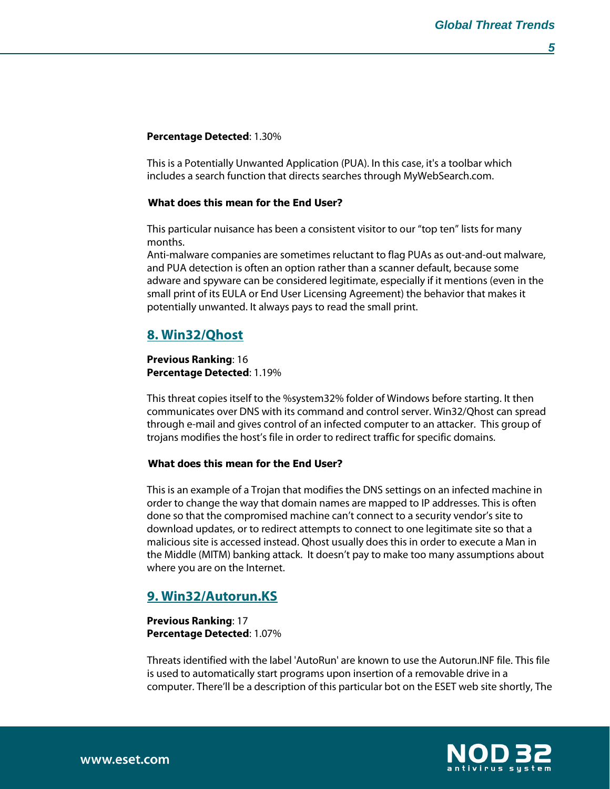### **Percentage Detected**: 1.30%

This is a Potentially Unwanted Application (PUA). In this case, it's a toolbar which includes a search function that directs searches through MyWebSearch.com.

### **What does this mean for the End User?**

This particular nuisance has been a consistent visitor to our "top ten" lists for many months.

Anti-malware companies are sometimes reluctant to flag PUAs as out-and-out malware, and PUA detection is often an option rather than a scanner default, because some adware and spyware can be considered legitimate, especially if it mentions (even in the small print of its EULA or End User Licensing Agreement) the behavior that makes it potentially unwanted. It always pays to read the small print.

# **8. Win32/Qhost**

### **Previous Ranking**: 16 **Percentage Detected**: 1.19%

This threat copies itself to the %system32% folder of Windows before starting. It then communicates over DNS with its command and control server. Win32/Qhost can spread through e-mail and gives control of an infected computer to an attacker. This group of trojans modifies the host's file in order to redirect traffic for specific domains.

### **What does this mean for the End User?**

This is an example of a Trojan that modifies the DNS settings on an infected machine in order to change the way that domain names are mapped to IP addresses. This is often done so that the compromised machine can't connect to a security vendor's site to download updates, or to redirect attempts to connect to one legitimate site so that a malicious site is accessed instead. Qhost usually does this in order to execute a Man in the Middle (MITM) banking attack. It doesn't pay to make too many assumptions about where you are on the Internet.

# **9. Win32/Autorun.KS**

### **Previous Ranking**: 17 **Percentage Detected**: 1.07%

Threats identified with the label 'AutoRun' are known to use the Autorun.INF file. This file is used to automatically start programs upon insertion of a removable drive in a computer. There'll be a description of this particular bot on the ESET web site shortly, The

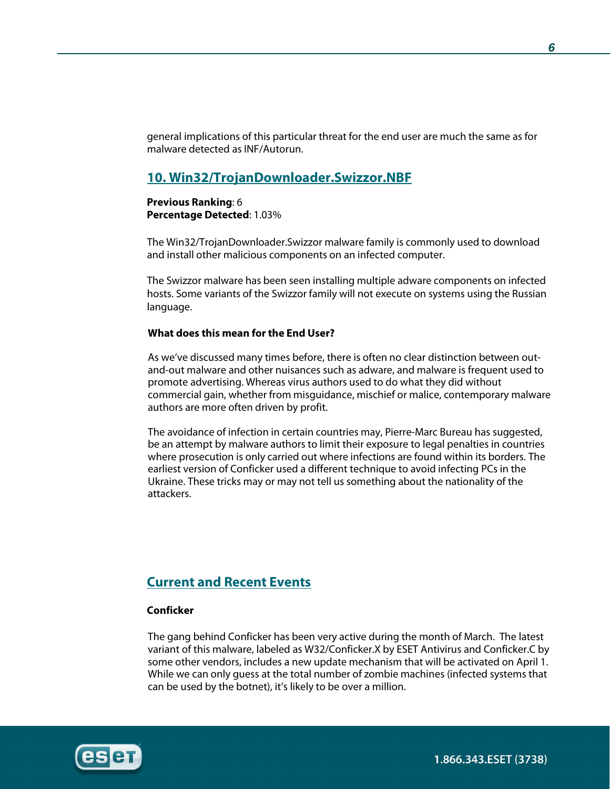general implications of this particular threat for the end user are much the same as for malware detected as INF/Autorun.

### **10. Win32/TrojanDownloader.Swizzor.NBF**

### **Previous Ranking**: 6 **Percentage Detected**: 1.03%

The Win32/TrojanDownloader.Swizzor malware family is commonly used to download and install other malicious components on an infected computer.

The Swizzor malware has been seen installing multiple adware components on infected hosts. Some variants of the Swizzor family will not execute on systems using the Russian language.

### **What does this mean for the End User?**

As we've discussed many times before, there is often no clear distinction between outand-out malware and other nuisances such as adware, and malware is frequent used to promote advertising. Whereas virus authors used to do what they did without commercial gain, whether from misguidance, mischief or malice, contemporary malware authors are more often driven by profit.

The avoidance of infection in certain countries may, Pierre-Marc Bureau has suggested, be an attempt by malware authors to limit their exposure to legal penalties in countries where prosecution is only carried out where infections are found within its borders. The earliest version of Conficker used a different technique to avoid infecting PCs in the Ukraine. These tricks may or may not tell us something about the nationality of the attackers.

# **Current and Recent Events**

### **Conficker**

The gang behind Conficker has been very active during the month of March. The latest variant of this malware, labeled as W32/Conficker.X by ESET Antivirus and Conficker.C by some other vendors, includes a new update mechanism that will be activated on April 1. While we can only guess at the total number of zombie machines (infected systems that can be used by the botnet), it's likely to be over a million.

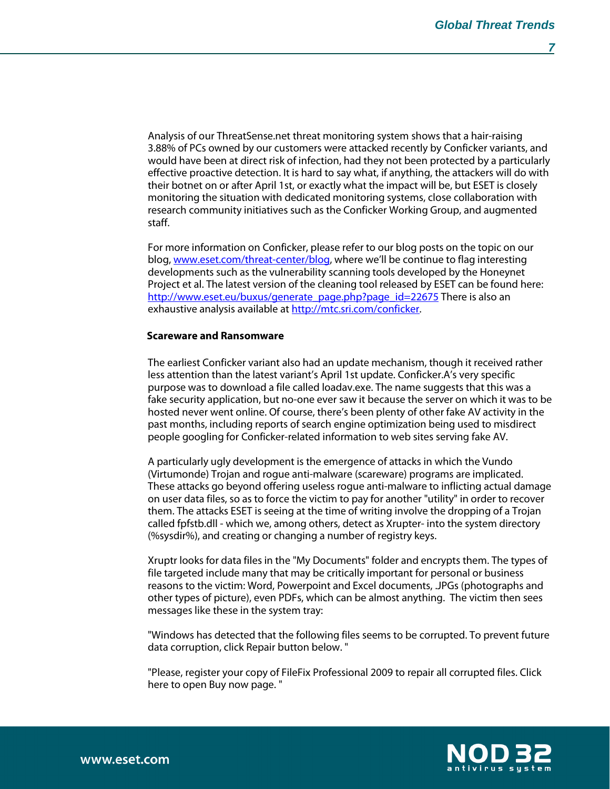Analysis of our ThreatSense.net threat monitoring system shows that a hair-raising 3.88% of PCs owned by our customers were attacked recently by Conficker variants, and would have been at direct risk of infection, had they not been protected by a particularly effective proactive detection. It is hard to say what, if anything, the attackers will do with their botnet on or after April 1st, or exactly what the impact will be, but ESET is closely monitoring the situation with dedicated monitoring systems, close collaboration with research community initiatives such as the Conficker Working Group, and augmented staff.

For more information on Conficker, please refer to our blog posts on the topic on our blog, www.eset.com/threat-center/blog, where we'll be continue to flag interesting developments such as the vulnerability scanning tools developed by the Honeynet Project et al. The latest version of the cleaning tool released by ESET can be found here: http://www.eset.eu/buxus/generate\_page.php?page\_id=22675 There is also an exhaustive analysis available at http://mtc.sri.com/conficker.

#### **Scareware and Ransomware**

The earliest Conficker variant also had an update mechanism, though it received rather less attention than the latest variant's April 1st update. Conficker.A's very specific purpose was to download a file called loadav.exe. The name suggests that this was a fake security application, but no-one ever saw it because the server on which it was to be hosted never went online. Of course, there's been plenty of other fake AV activity in the past months, including reports of search engine optimization being used to misdirect people googling for Conficker-related information to web sites serving fake AV.

A particularly ugly development is the emergence of attacks in which the Vundo (Virtumonde) Trojan and rogue anti-malware (scareware) programs are implicated. These attacks go beyond offering useless rogue anti-malware to inflicting actual damage on user data files, so as to force the victim to pay for another "utility" in order to recover them. The attacks ESET is seeing at the time of writing involve the dropping of a Trojan called fpfstb.dll - which we, among others, detect as Xrupter- into the system directory (%sysdir%), and creating or changing a number of registry keys.

Xruptr looks for data files in the "My Documents" folder and encrypts them. The types of file targeted include many that may be critically important for personal or business reasons to the victim: Word, Powerpoint and Excel documents, .JPGs (photographs and other types of picture), even PDFs, which can be almost anything. The victim then sees messages like these in the system tray:

"Windows has detected that the following files seems to be corrupted. To prevent future data corruption, click Repair button below. "

"Please, register your copy of FileFix Professional 2009 to repair all corrupted files. Click here to open Buy now page. "

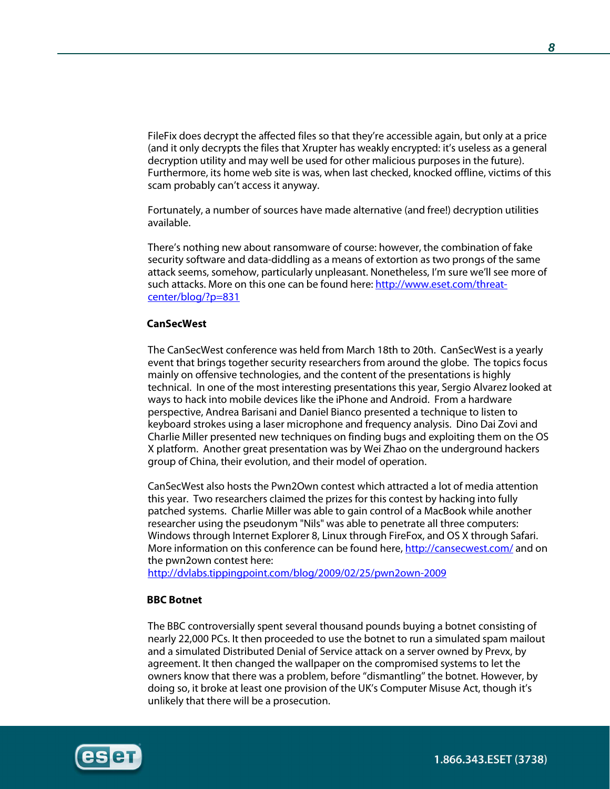FileFix does decrypt the affected files so that they're accessible again, but only at a price (and it only decrypts the files that Xrupter has weakly encrypted: it's useless as a general decryption utility and may well be used for other malicious purposes in the future). Furthermore, its home web site is was, when last checked, knocked offline, victims of this scam probably can't access it anyway.

Fortunately, a number of sources have made alternative (and free!) decryption utilities available.

There's nothing new about ransomware of course: however, the combination of fake security software and data-diddling as a means of extortion as two prongs of the same attack seems, somehow, particularly unpleasant. Nonetheless, I'm sure we'll see more of such attacks. More on this one can be found here: http://www.eset.com/threatcenter/blog/?p=831

### **CanSecWest**

The CanSecWest conference was held from March 18th to 20th. CanSecWest is a yearly event that brings together security researchers from around the globe. The topics focus mainly on offensive technologies, and the content of the presentations is highly technical. In one of the most interesting presentations this year, Sergio Alvarez looked at ways to hack into mobile devices like the iPhone and Android. From a hardware perspective, Andrea Barisani and Daniel Bianco presented a technique to listen to keyboard strokes using a laser microphone and frequency analysis. Dino Dai Zovi and Charlie Miller presented new techniques on finding bugs and exploiting them on the OS X platform. Another great presentation was by Wei Zhao on the underground hackers group of China, their evolution, and their model of operation.

CanSecWest also hosts the Pwn2Own contest which attracted a lot of media attention this year. Two researchers claimed the prizes for this contest by hacking into fully patched systems. Charlie Miller was able to gain control of a MacBook while another researcher using the pseudonym "Nils" was able to penetrate all three computers: Windows through Internet Explorer 8, Linux through FireFox, and OS X through Safari. More information on this conference can be found here, http://cansecwest.com/ and on the pwn2own contest here:

http://dvlabs.tippingpoint.com/blog/2009/02/25/pwn2own-2009

#### **BBC Botnet**

The BBC controversially spent several thousand pounds buying a botnet consisting of nearly 22,000 PCs. It then proceeded to use the botnet to run a simulated spam mailout and a simulated Distributed Denial of Service attack on a server owned by Prevx, by agreement. It then changed the wallpaper on the compromised systems to let the owners know that there was a problem, before ''dismantling'' the botnet. However, by doing so, it broke at least one provision of the UK's Computer Misuse Act, though it's unlikely that there will be a prosecution.